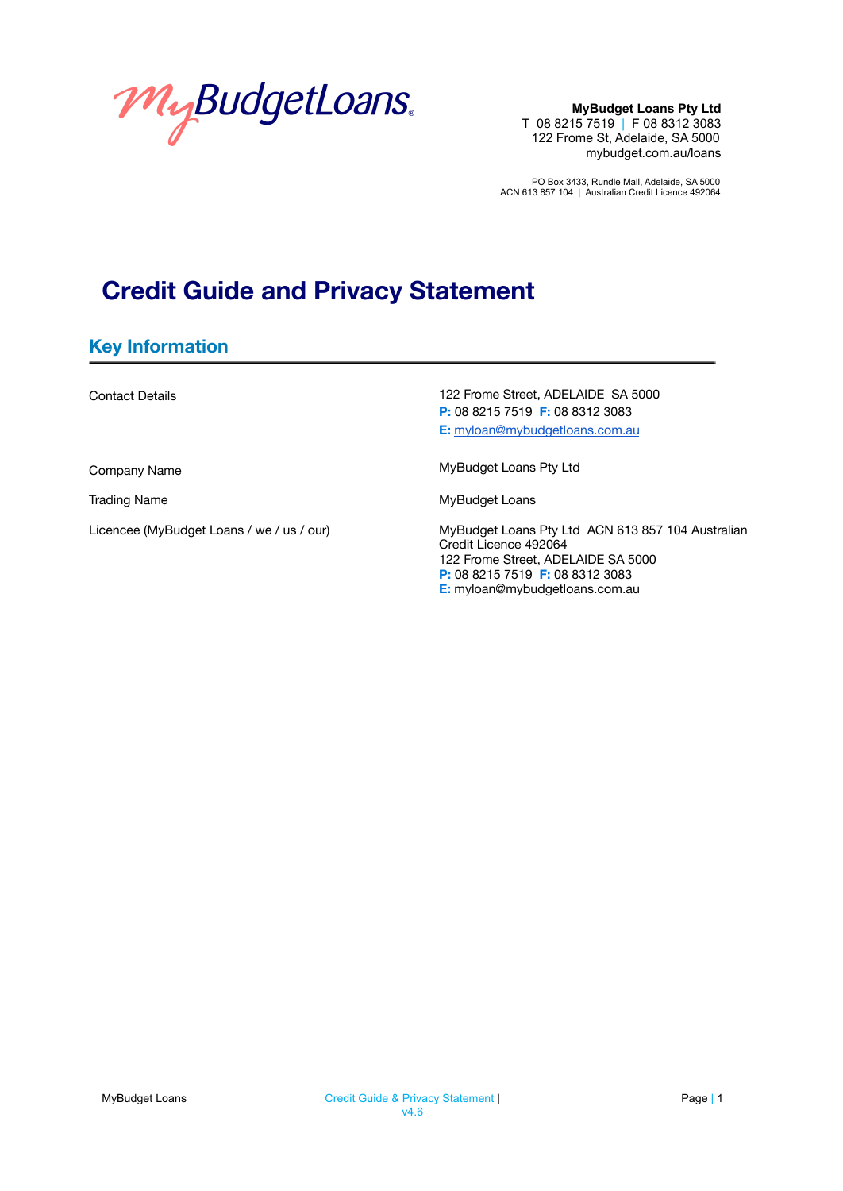

PO Box 3433, Rundle Mall, Adelaide, SA 5000 ACN 613 857 104 | Australian Credit Licence 492064

# **Credit Guide and Privacy Statement**

### **Key Information**

Contact Details

Company Name

Trading Name

Licencee (MyBudget Loans / we / us / our)

122 Frome Street, ADELAIDE SA 5000 **P:** 08 8215 7519 **F:** 08 8312 3083 **E:** [myloan@mybudgetloans.com.au](mailto:myloan@mybudgetloans.com.au)

MyBudget Loans Pty Ltd

MyBudget Loans

MyBudget Loans Pty Ltd ACN 613 857 104 Australian Credit Licence 492064 122 Frome Street, ADELAIDE SA 5000 **P:** 08 8215 7519 **F:** 08 8312 3083 **E:** myloan@mybudgetloans.com.au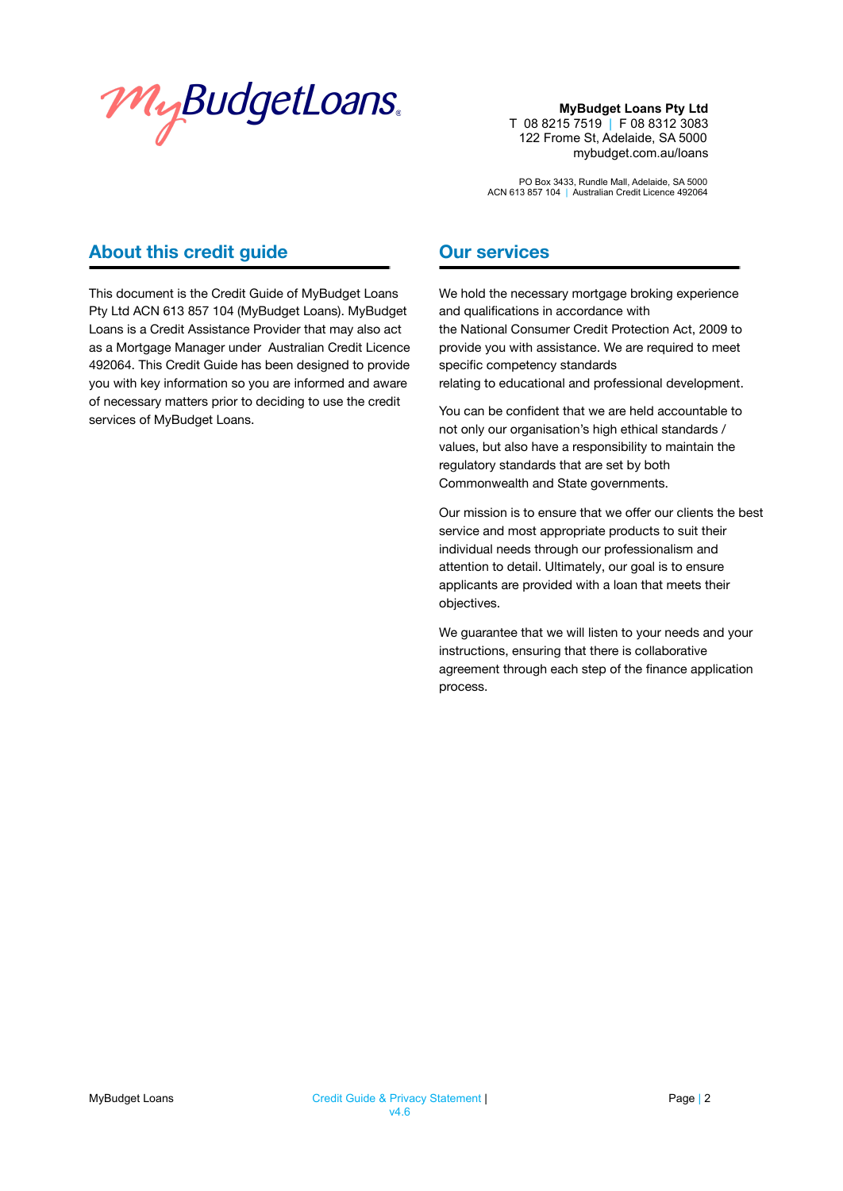

PO Box 3433, Rundle Mall, Adelaide, SA 5000 ACN 613 857 104 | Australian Credit Licence 492064

### **About this credit guide**

This document is the Credit Guide of MyBudget Loans Pty Ltd ACN 613 857 104 (MyBudget Loans). MyBudget Loans is a Credit Assistance Provider that may also act as a Mortgage Manager under Australian Credit Licence 492064. This Credit Guide has been designed to provide you with key information so you are informed and aware of necessary matters prior to deciding to use the credit services of MyBudget Loans.

### **Our services**

We hold the necessary mortgage broking experience and qualifications in accordance with the National Consumer Credit Protection Act, 2009 to provide you with assistance. We are required to meet specific competency standards relating to educational and professional development.

You can be confident that we are held accountable to not only our organisation's high ethical standards / values, but also have a responsibility to maintain the regulatory standards that are set by both Commonwealth and State governments.

Our mission is to ensure that we offer our clients the best service and most appropriate products to suit their individual needs through our professionalism and attention to detail. Ultimately, our goal is to ensure applicants are provided with a loan that meets their objectives.

We guarantee that we will listen to your needs and your instructions, ensuring that there is collaborative agreement through each step of the finance application process.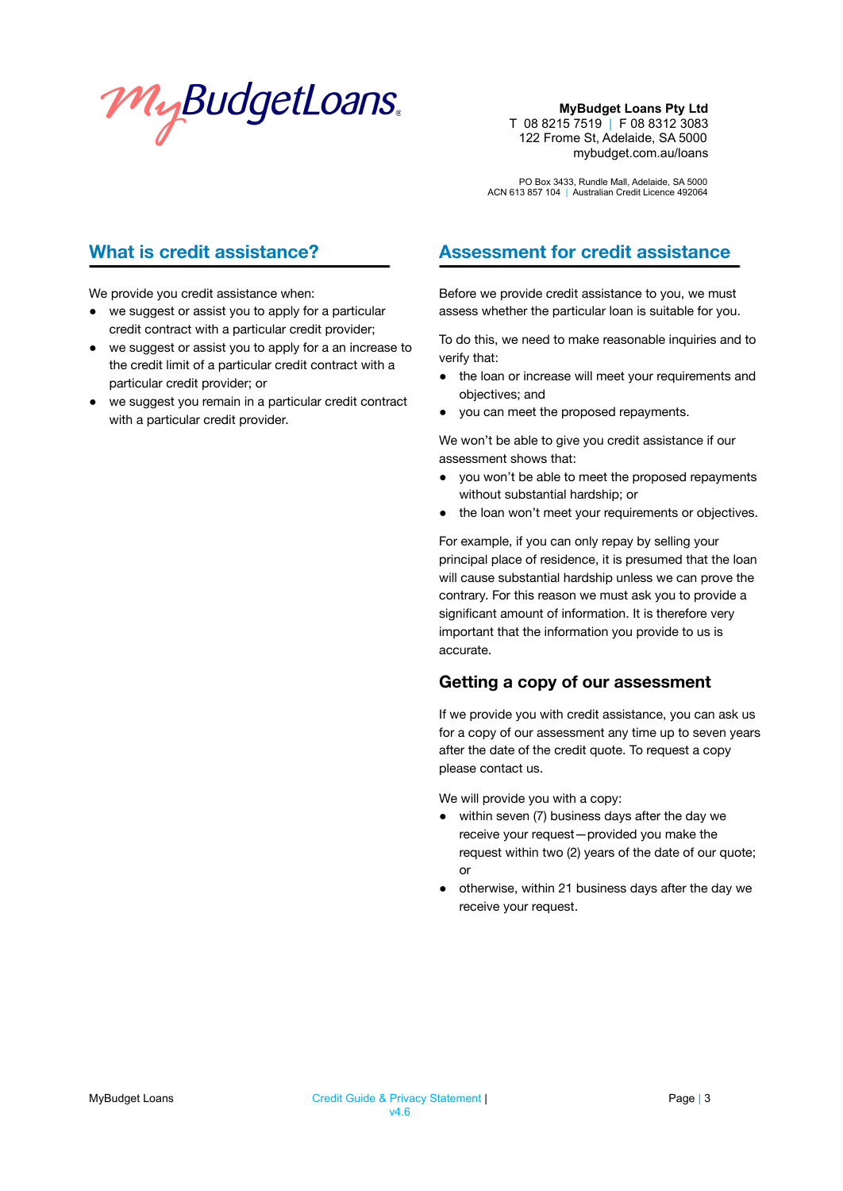

PO Box 3433, Rundle Mall, Adelaide, SA 5000 ACN 613 857 104 | Australian Credit Licence 492064

# **What is credit assistance?**

We provide you credit assistance when:

- we suggest or assist you to apply for a particular credit contract with a particular credit provider;
- we suggest or assist you to apply for a an increase to the credit limit of a particular credit contract with a particular credit provider; or
- we suggest you remain in a particular credit contract with a particular credit provider.

### **Assessment for credit assistance**

Before we provide credit assistance to you, we must assess whether the particular loan is suitable for you.

To do this, we need to make reasonable inquiries and to verify that:

- the loan or increase will meet your requirements and objectives; and
- you can meet the proposed repayments.

We won't be able to give you credit assistance if our assessment shows that:

- you won't be able to meet the proposed repayments without substantial hardship; or
- the loan won't meet your requirements or objectives.

For example, if you can only repay by selling your principal place of residence, it is presumed that the loan will cause substantial hardship unless we can prove the contrary. For this reason we must ask you to provide a significant amount of information. It is therefore very important that the information you provide to us is accurate.

#### **Getting a copy of our assessment**

If we provide you with credit assistance, you can ask us for a copy of our assessment any time up to seven years after the date of the credit quote. To request a copy please contact us.

We will provide you with a copy:

- within seven (7) business days after the day we receive your request—provided you make the request within two (2) years of the date of our quote; or
- otherwise, within 21 business days after the day we receive your request.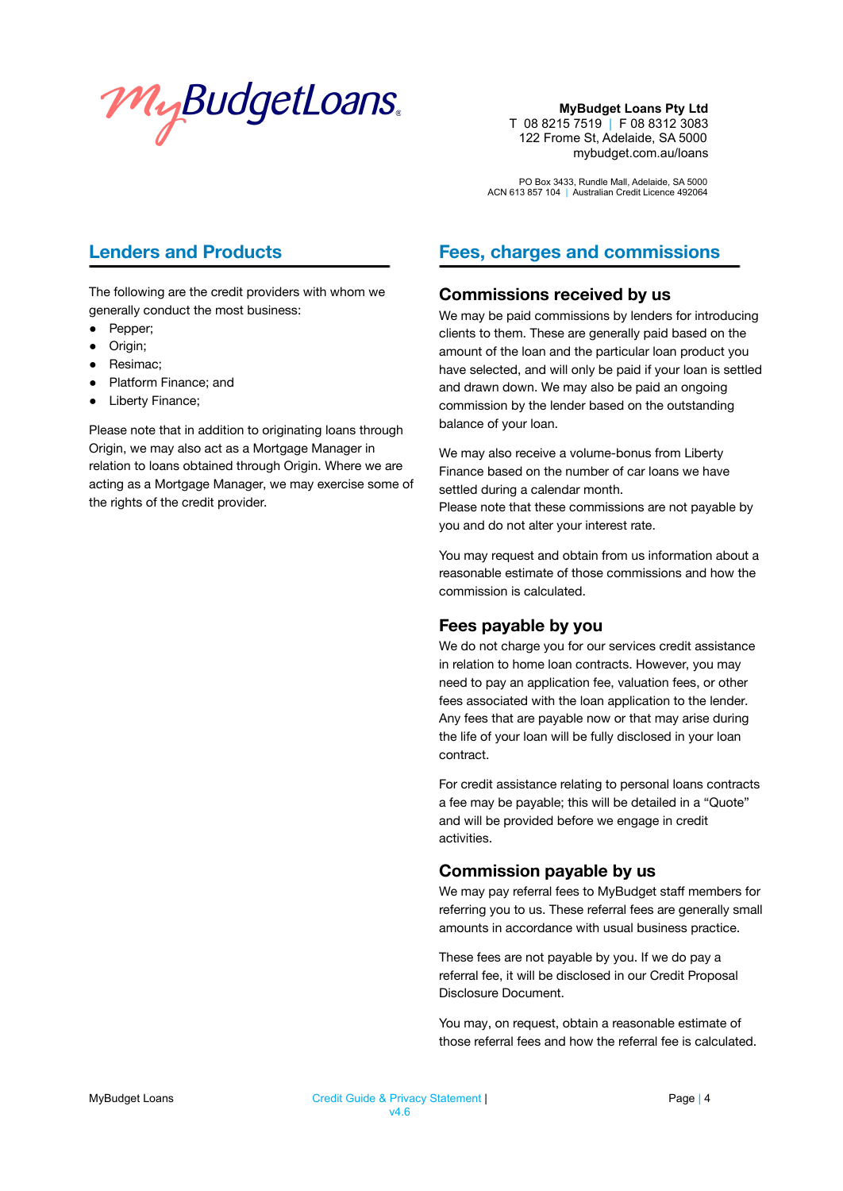

PO Box 3433, Rundle Mall, Adelaide, SA 5000 ACN 613 857 104 | Australian Credit Licence 492064

## **Lenders and Products**

The following are the credit providers with whom we generally conduct the most business:

- Pepper;
- Origin;
- Resimac;
- Platform Finance; and
- Liberty Finance;

Please note that in addition to originating loans through Origin, we may also act as a Mortgage Manager in relation to loans obtained through Origin. Where we are acting as a Mortgage Manager, we may exercise some of the rights of the credit provider.

# **Fees, charges and commissions**

#### **Commissions received by us**

We may be paid commissions by lenders for introducing clients to them. These are generally paid based on the amount of the loan and the particular loan product you have selected, and will only be paid if your loan is settled and drawn down. We may also be paid an ongoing commission by the lender based on the outstanding balance of your loan.

We may also receive a volume-bonus from Liberty Finance based on the number of car loans we have settled during a calendar month. Please note that these commissions are not payable by

you and do not alter your interest rate.

You may request and obtain from us information about a reasonable estimate of those commissions and how the commission is calculated.

#### **Fees payable by you**

We do not charge you for our services credit assistance in relation to home loan contracts. However, you may need to pay an application fee, valuation fees, or other fees associated with the loan application to the lender. Any fees that are payable now or that may arise during the life of your loan will be fully disclosed in your loan contract.

For credit assistance relating to personal loans contracts a fee may be payable; this will be detailed in a "Quote" and will be provided before we engage in credit activities.

#### **Commission payable by us**

We may pay referral fees to MyBudget staff members for referring you to us. These referral fees are generally small amounts in accordance with usual business practice.

These fees are not payable by you. If we do pay a referral fee, it will be disclosed in our Credit Proposal Disclosure Document.

You may, on request, obtain a reasonable estimate of those referral fees and how the referral fee is calculated.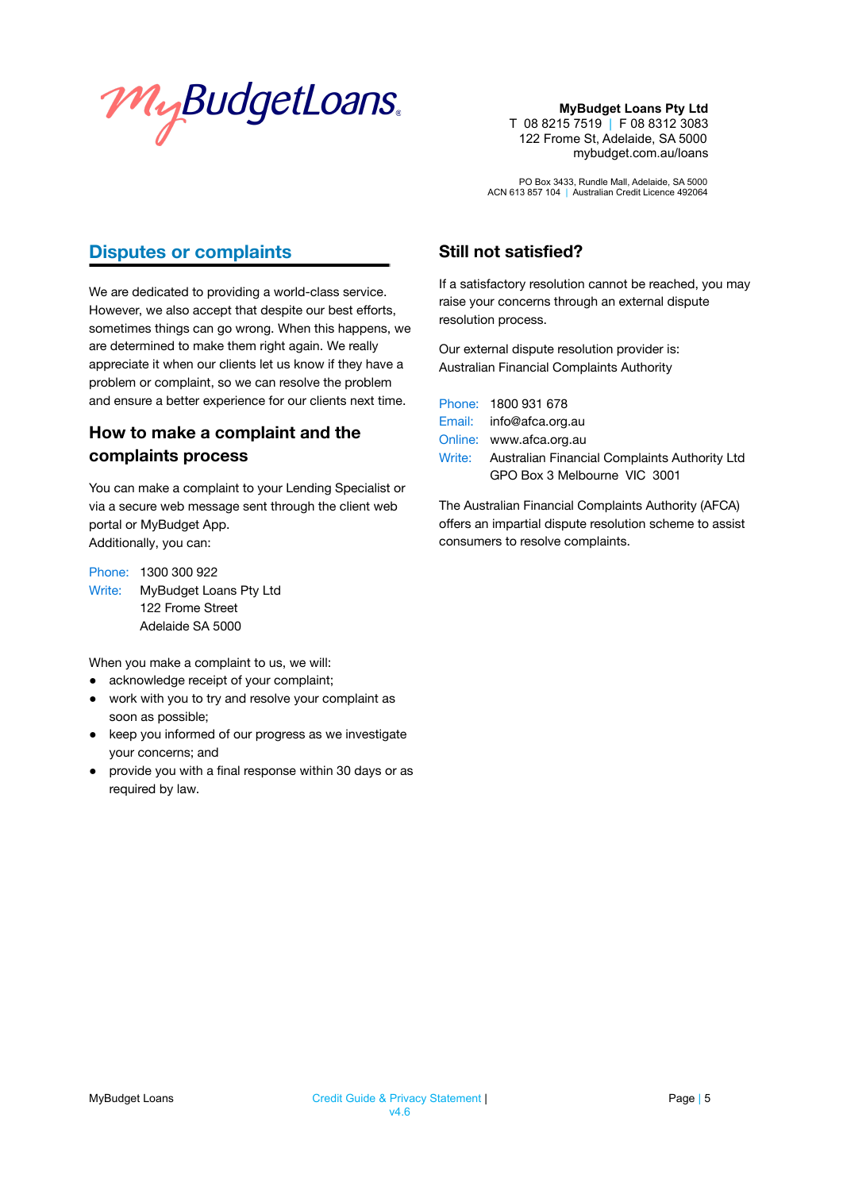

PO Box 3433, Rundle Mall, Adelaide, SA 5000 ACN 613 857 104 | Australian Credit Licence 492064

## **Disputes or complaints**

We are dedicated to providing a world-class service. However, we also accept that despite our best efforts, sometimes things can go wrong. When this happens, we are determined to make them right again. We really appreciate it when our clients let us know if they have a problem or complaint, so we can resolve the problem and ensure a better experience for our clients next time.

# **How to make a complaint and the complaints process**

You can make a complaint to your Lending Specialist or via a secure web message sent through the client web portal or MyBudget App. Additionally, you can:

Phone: 1300 300 922 Write: MyBudget Loans Pty Ltd 122 Frome Street Adelaide SA 5000

When you make a complaint to us, we will:

- acknowledge receipt of your complaint;
- work with you to try and resolve your complaint as soon as possible;
- keep you informed of our progress as we investigate your concerns; and
- provide you with a final response within 30 days or as required by law.

### **Still not satisfied?**

If a satisfactory resolution cannot be reached, you may raise your concerns through an external dispute resolution process.

Our external dispute resolution provider is: Australian Financial Complaints Authority

| Phone: 1800 931 678                                  |
|------------------------------------------------------|
| Email: info@afca.org.au                              |
| Online: www.afca.org.au                              |
| Write: Australian Financial Complaints Authority Ltd |
| GPO Box 3 Melbourne VIC 3001                         |

The Australian Financial Complaints Authority (AFCA) offers an impartial dispute resolution scheme to assist consumers to resolve complaints.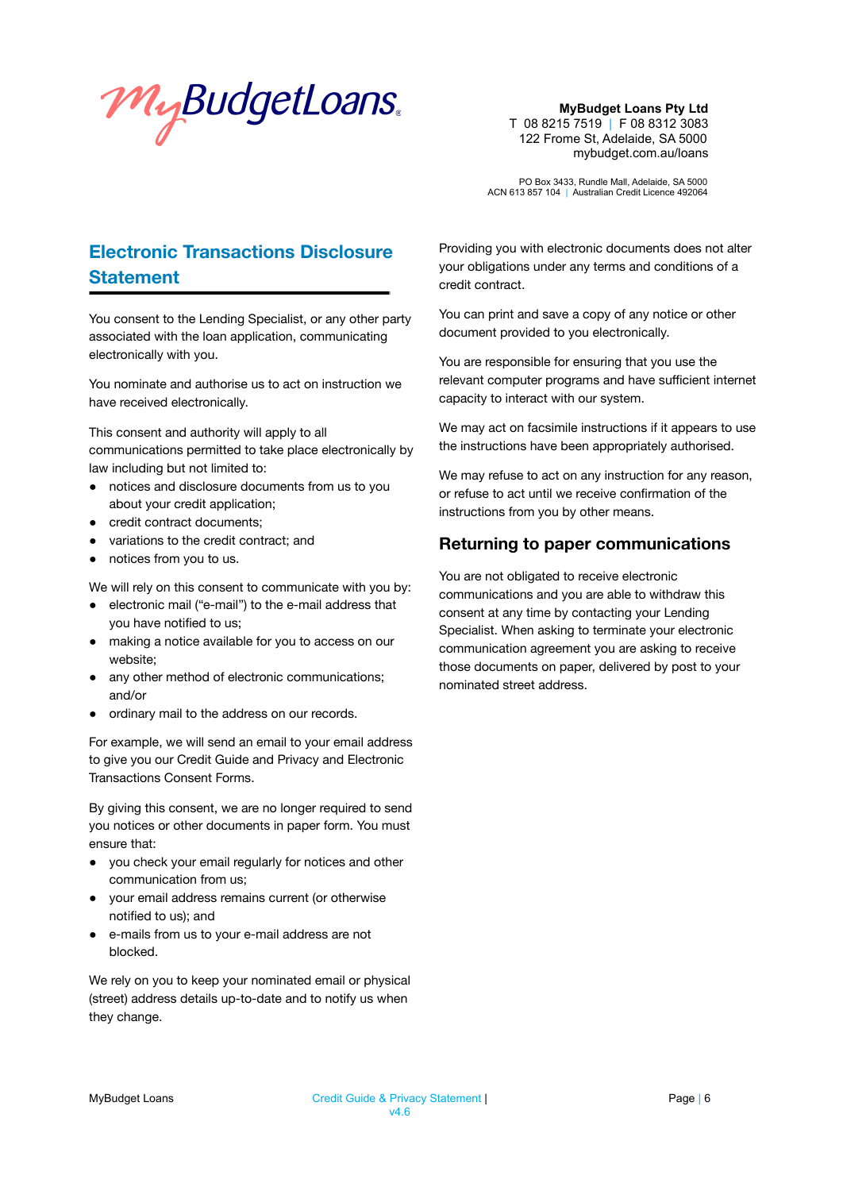

PO Box 3433, Rundle Mall, Adelaide, SA 5000 ACN 613 857 104 | Australian Credit Licence 492064

# **Electronic Transactions Disclosure Statement**

You consent to the Lending Specialist, or any other party associated with the loan application, communicating electronically with you.

You nominate and authorise us to act on instruction we have received electronically.

This consent and authority will apply to all communications permitted to take place electronically by law including but not limited to:

- notices and disclosure documents from us to you about your credit application;
- credit contract documents;
- variations to the credit contract; and
- notices from you to us.

We will rely on this consent to communicate with you by:

- electronic mail ("e-mail") to the e-mail address that you have notified to us;
- making a notice available for you to access on our website;
- any other method of electronic communications; and/or
- ordinary mail to the address on our records.

For example, we will send an email to your email address to give you our Credit Guide and Privacy and Electronic Transactions Consent Forms.

By giving this consent, we are no longer required to send you notices or other documents in paper form. You must ensure that:

- you check your email regularly for notices and other communication from us;
- your email address remains current (or otherwise notified to us); and
- e-mails from us to your e-mail address are not blocked.

We rely on you to keep your nominated email or physical (street) address details up-to-date and to notify us when they change.

Providing you with electronic documents does not alter your obligations under any terms and conditions of a credit contract.

You can print and save a copy of any notice or other document provided to you electronically.

You are responsible for ensuring that you use the relevant computer programs and have sufficient internet capacity to interact with our system.

We may act on facsimile instructions if it appears to use the instructions have been appropriately authorised.

We may refuse to act on any instruction for any reason, or refuse to act until we receive confirmation of the instructions from you by other means.

#### **Returning to paper communications**

You are not obligated to receive electronic communications and you are able to withdraw this consent at any time by contacting your Lending Specialist. When asking to terminate your electronic communication agreement you are asking to receive those documents on paper, delivered by post to your nominated street address.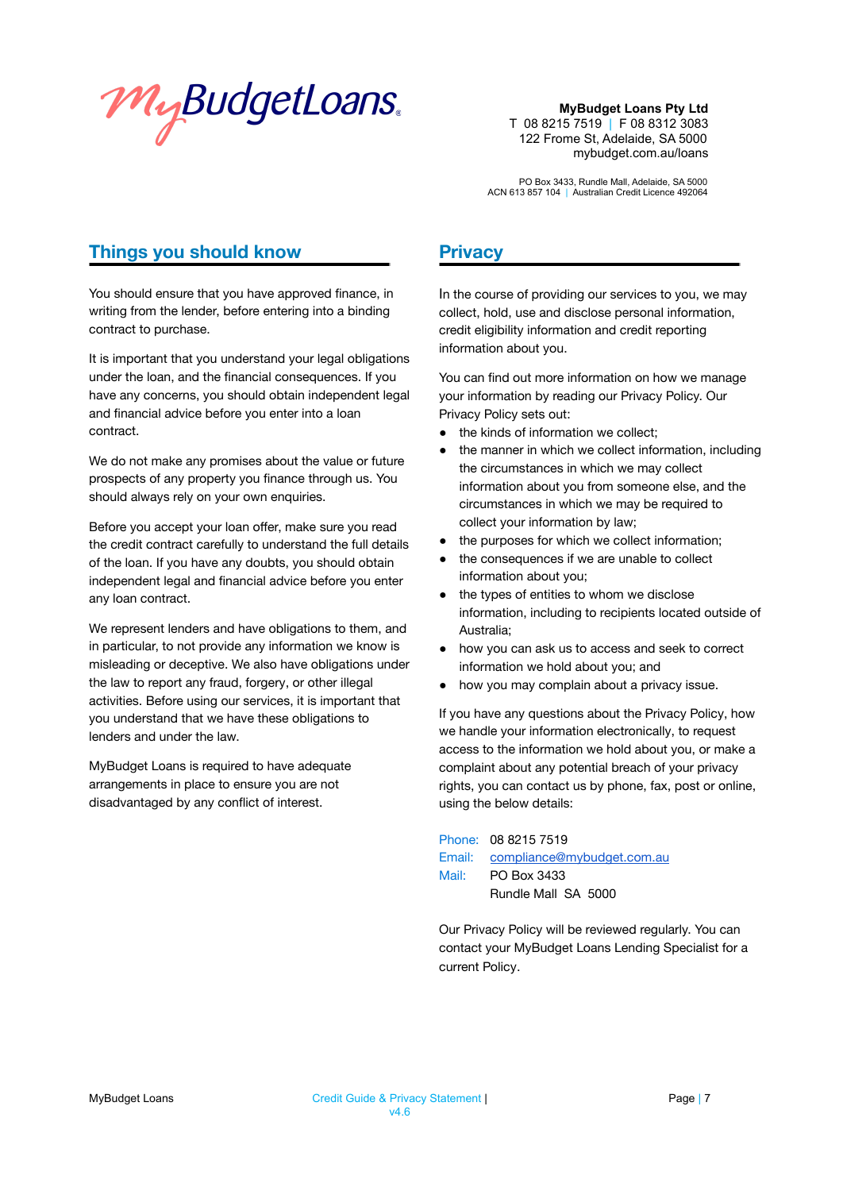

PO Box 3433, Rundle Mall, Adelaide, SA 5000 ACN 613 857 104 | Australian Credit Licence 492064

## **Things you should know**

You should ensure that you have approved finance, in writing from the lender, before entering into a binding contract to purchase.

It is important that you understand your legal obligations under the loan, and the financial consequences. If you have any concerns, you should obtain independent legal and financial advice before you enter into a loan contract.

We do not make any promises about the value or future prospects of any property you finance through us. You should always rely on your own enquiries.

Before you accept your loan offer, make sure you read the credit contract carefully to understand the full details of the loan. If you have any doubts, you should obtain independent legal and financial advice before you enter any loan contract.

We represent lenders and have obligations to them, and in particular, to not provide any information we know is misleading or deceptive. We also have obligations under the law to report any fraud, forgery, or other illegal activities. Before using our services, it is important that you understand that we have these obligations to lenders and under the law.

MyBudget Loans is required to have adequate arrangements in place to ensure you are not disadvantaged by any conflict of interest.

### **Privacy**

In the course of providing our services to you, we may collect, hold, use and disclose personal information, credit eligibility information and credit reporting information about you.

You can find out more information on how we manage your information by reading our Privacy Policy. Our Privacy Policy sets out:

- the kinds of information we collect;
- the manner in which we collect information, including the circumstances in which we may collect information about you from someone else, and the circumstances in which we may be required to collect your information by law;
- the purposes for which we collect information;
- the consequences if we are unable to collect information about you;
- the types of entities to whom we disclose information, including to recipients located outside of Australia;
- how you can ask us to access and seek to correct information we hold about you; and
- how you may complain about a privacy issue.

If you have any questions about the Privacy Policy, how we handle your information electronically, to request access to the information we hold about you, or make a complaint about any potential breach of your privacy rights, you can contact us by phone, fax, post or online, using the below details:

Phone: 08 8215 7519 Email: [compliance@mybudget.com.au](mailto:compliance@mybudget.com.au) Mail: PO Box 3433 Rundle Mall SA 5000

Our Privacy Policy will be reviewed regularly. You can contact your MyBudget Loans Lending Specialist for a current Policy.